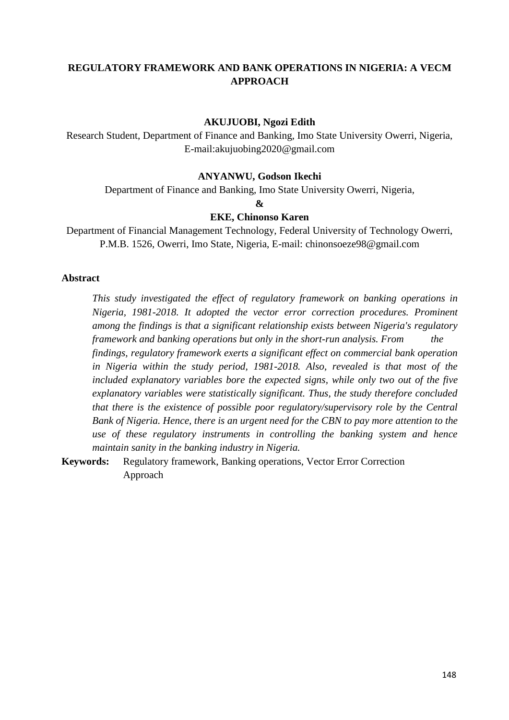# **REGULATORY FRAMEWORK AND BANK OPERATIONS IN NIGERIA: A VECM APPROACH**

#### **AKUJUOBI, Ngozi Edith**

Research Student, Department of Finance and Banking, Imo State University Owerri, Nigeria, E-mail:akujuobing2020@gmail.com

#### **ANYANWU, Godson Ikechi**

Department of Finance and Banking, Imo State University Owerri, Nigeria,

**&**

#### **EKE, Chinonso Karen**

Department of Financial Management Technology, Federal University of Technology Owerri, P.M.B. 1526, Owerri, Imo State, Nigeria, E-mail: chinonsoeze98@gmail.com

#### **Abstract**

*This study investigated the effect of regulatory framework on banking operations in Nigeria, 1981-2018. It adopted the vector error correction procedures. Prominent among the findings is that a significant relationship exists between Nigeria's regulatory framework and banking operations but only in the short-run analysis. From the findings, regulatory framework exerts a significant effect on commercial bank operation in Nigeria within the study period, 1981-2018. Also, revealed is that most of the included explanatory variables bore the expected signs, while only two out of the five explanatory variables were statistically significant. Thus, the study therefore concluded that there is the existence of possible poor regulatory/supervisory role by the Central Bank of Nigeria. Hence, there is an urgent need for the CBN to pay more attention to the use of these regulatory instruments in controlling the banking system and hence maintain sanity in the banking industry in Nigeria.*

**Keywords:** Regulatory framework, Banking operations, Vector Error Correction Approach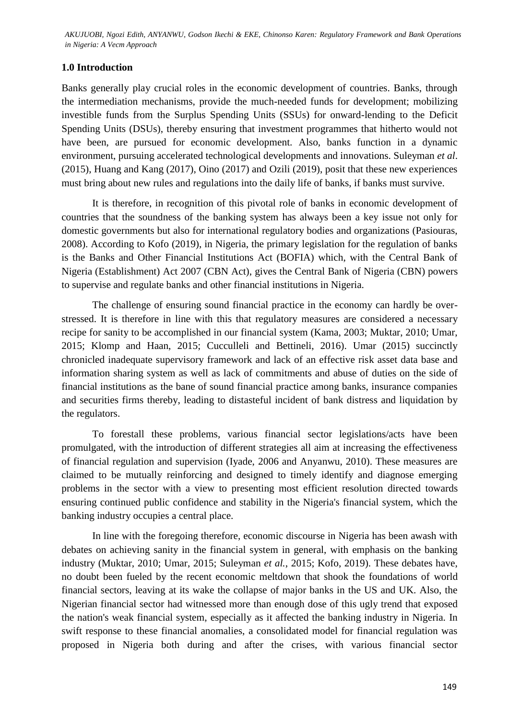## **1.0 Introduction**

Banks generally play crucial roles in the economic development of countries. Banks, through the intermediation mechanisms, provide the much-needed funds for development; mobilizing investible funds from the Surplus Spending Units (SSUs) for onward-lending to the Deficit Spending Units (DSUs), thereby ensuring that investment programmes that hitherto would not have been, are pursued for economic development. Also, banks function in a dynamic environment, pursuing accelerated technological developments and innovations. Suleyman *et al*. (2015), Huang and Kang (2017), Oino (2017) and Ozili (2019), posit that these new experiences must bring about new rules and regulations into the daily life of banks, if banks must survive.

It is therefore, in recognition of this pivotal role of banks in economic development of countries that the soundness of the banking system has always been a key issue not only for domestic governments but also for international regulatory bodies and organizations (Pasiouras, 2008). According to Kofo (2019), in Nigeria, the primary legislation for the regulation of banks is the Banks and Other Financial Institutions Act (BOFIA) which, with the Central Bank of Nigeria (Establishment) Act 2007 (CBN Act), gives the Central Bank of Nigeria (CBN) powers to supervise and regulate banks and other financial institutions in Nigeria.

The challenge of ensuring sound financial practice in the economy can hardly be overstressed. It is therefore in line with this that regulatory measures are considered a necessary recipe for sanity to be accomplished in our financial system (Kama, 2003; Muktar, 2010; Umar, 2015; Klomp and Haan, 2015; Cucculleli and Bettineli, 2016). Umar (2015) succinctly chronicled inadequate supervisory framework and lack of an effective risk asset data base and information sharing system as well as lack of commitments and abuse of duties on the side of financial institutions as the bane of sound financial practice among banks, insurance companies and securities firms thereby, leading to distasteful incident of bank distress and liquidation by the regulators.

To forestall these problems, various financial sector legislations/acts have been promulgated, with the introduction of different strategies all aim at increasing the effectiveness of financial regulation and supervision (Iyade, 2006 and Anyanwu, 2010). These measures are claimed to be mutually reinforcing and designed to timely identify and diagnose emerging problems in the sector with a view to presenting most efficient resolution directed towards ensuring continued public confidence and stability in the Nigeria's financial system, which the banking industry occupies a central place.

In line with the foregoing therefore, economic discourse in Nigeria has been awash with debates on achieving sanity in the financial system in general, with emphasis on the banking industry (Muktar, 2010; Umar, 2015; Suleyman *et al.*, 2015; Kofo, 2019). These debates have, no doubt been fueled by the recent economic meltdown that shook the foundations of world financial sectors, leaving at its wake the collapse of major banks in the US and UK. Also, the Nigerian financial sector had witnessed more than enough dose of this ugly trend that exposed the nation's weak financial system, especially as it affected the banking industry in Nigeria. In swift response to these financial anomalies, a consolidated model for financial regulation was proposed in Nigeria both during and after the crises, with various financial sector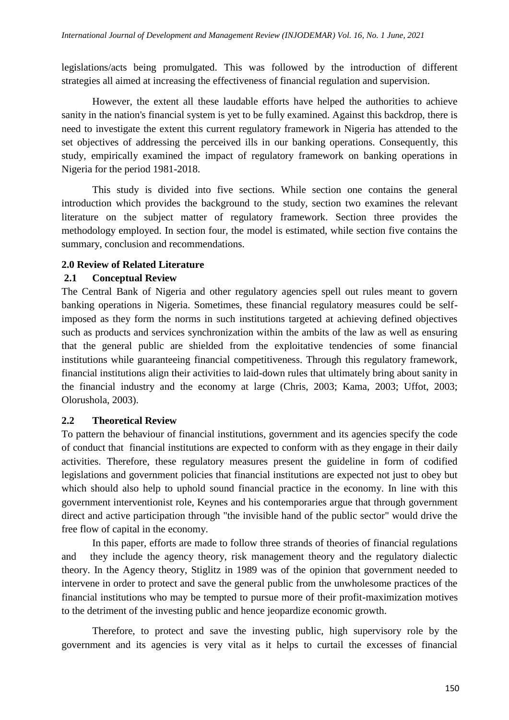legislations/acts being promulgated. This was followed by the introduction of different strategies all aimed at increasing the effectiveness of financial regulation and supervision.

However, the extent all these laudable efforts have helped the authorities to achieve sanity in the nation's financial system is yet to be fully examined. Against this backdrop, there is need to investigate the extent this current regulatory framework in Nigeria has attended to the set objectives of addressing the perceived ills in our banking operations. Consequently, this study, empirically examined the impact of regulatory framework on banking operations in Nigeria for the period 1981-2018.

This study is divided into five sections. While section one contains the general introduction which provides the background to the study, section two examines the relevant literature on the subject matter of regulatory framework. Section three provides the methodology employed. In section four, the model is estimated, while section five contains the summary, conclusion and recommendations.

#### **2.0 Review of Related Literature**

#### **2.1 Conceptual Review**

The Central Bank of Nigeria and other regulatory agencies spell out rules meant to govern banking operations in Nigeria. Sometimes, these financial regulatory measures could be selfimposed as they form the norms in such institutions targeted at achieving defined objectives such as products and services synchronization within the ambits of the law as well as ensuring that the general public are shielded from the exploitative tendencies of some financial institutions while guaranteeing financial competitiveness. Through this regulatory framework, financial institutions align their activities to laid-down rules that ultimately bring about sanity in the financial industry and the economy at large (Chris, 2003; Kama, 2003; Uffot, 2003; Olorushola, 2003).

### **2.2 Theoretical Review**

To pattern the behaviour of financial institutions, government and its agencies specify the code of conduct that financial institutions are expected to conform with as they engage in their daily activities. Therefore, these regulatory measures present the guideline in form of codified legislations and government policies that financial institutions are expected not just to obey but which should also help to uphold sound financial practice in the economy. In line with this government interventionist role, Keynes and his contemporaries argue that through government direct and active participation through "the invisible hand of the public sector" would drive the free flow of capital in the economy.

In this paper, efforts are made to follow three strands of theories of financial regulations and they include the agency theory, risk management theory and the regulatory dialectic theory. In the Agency theory, Stiglitz in 1989 was of the opinion that government needed to intervene in order to protect and save the general public from the unwholesome practices of the financial institutions who may be tempted to pursue more of their profit-maximization motives to the detriment of the investing public and hence jeopardize economic growth.

Therefore, to protect and save the investing public, high supervisory role by the government and its agencies is very vital as it helps to curtail the excesses of financial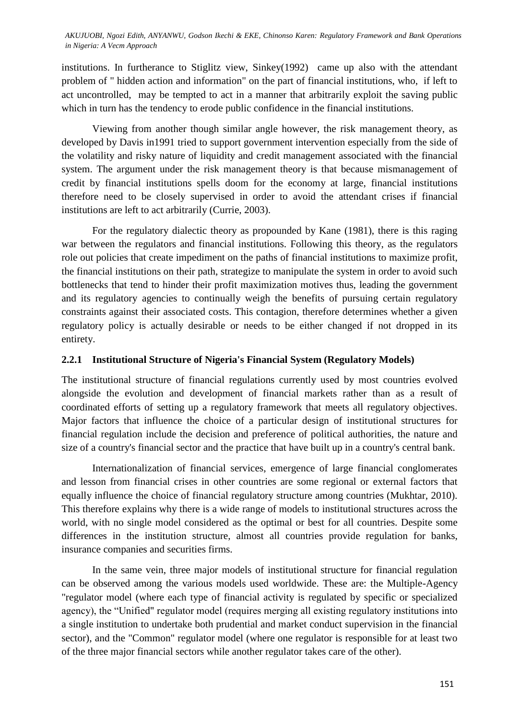institutions. In furtherance to Stiglitz view, Sinkey(1992) came up also with the attendant problem of " hidden action and information" on the part of financial institutions, who, if left to act uncontrolled, may be tempted to act in a manner that arbitrarily exploit the saving public which in turn has the tendency to erode public confidence in the financial institutions.

Viewing from another though similar angle however, the risk management theory, as developed by Davis in1991 tried to support government intervention especially from the side of the volatility and risky nature of liquidity and credit management associated with the financial system. The argument under the risk management theory is that because mismanagement of credit by financial institutions spells doom for the economy at large, financial institutions therefore need to be closely supervised in order to avoid the attendant crises if financial institutions are left to act arbitrarily (Currie, 2003).

For the regulatory dialectic theory as propounded by Kane (1981), there is this raging war between the regulators and financial institutions. Following this theory, as the regulators role out policies that create impediment on the paths of financial institutions to maximize profit, the financial institutions on their path, strategize to manipulate the system in order to avoid such bottlenecks that tend to hinder their profit maximization motives thus, leading the government and its regulatory agencies to continually weigh the benefits of pursuing certain regulatory constraints against their associated costs. This contagion, therefore determines whether a given regulatory policy is actually desirable or needs to be either changed if not dropped in its entirety.

#### **2.2.1 Institutional Structure of Nigeria's Financial System (Regulatory Models)**

The institutional structure of financial regulations currently used by most countries evolved alongside the evolution and development of financial markets rather than as a result of coordinated efforts of setting up a regulatory framework that meets all regulatory objectives. Major factors that influence the choice of a particular design of institutional structures for financial regulation include the decision and preference of political authorities, the nature and size of a country's financial sector and the practice that have built up in a country's central bank.

Internationalization of financial services, emergence of large financial conglomerates and lesson from financial crises in other countries are some regional or external factors that equally influence the choice of financial regulatory structure among countries (Mukhtar, 2010). This therefore explains why there is a wide range of models to institutional structures across the world, with no single model considered as the optimal or best for all countries. Despite some differences in the institution structure, almost all countries provide regulation for banks, insurance companies and securities firms.

In the same vein, three major models of institutional structure for financial regulation can be observed among the various models used worldwide. These are: the Multiple-Agency "regulator model (where each type of financial activity is regulated by specific or specialized agency), the "Unified" regulator model (requires merging all existing regulatory institutions into a single institution to undertake both prudential and market conduct supervision in the financial sector), and the "Common" regulator model (where one regulator is responsible for at least two of the three major financial sectors while another regulator takes care of the other).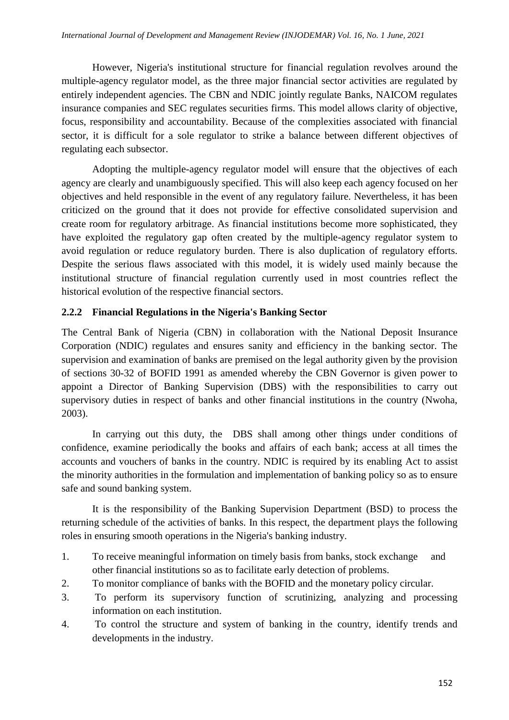However, Nigeria's institutional structure for financial regulation revolves around the multiple-agency regulator model, as the three major financial sector activities are regulated by entirely independent agencies. The CBN and NDIC jointly regulate Banks, NAICOM regulates insurance companies and SEC regulates securities firms. This model allows clarity of objective, focus, responsibility and accountability. Because of the complexities associated with financial sector, it is difficult for a sole regulator to strike a balance between different objectives of regulating each subsector.

Adopting the multiple-agency regulator model will ensure that the objectives of each agency are clearly and unambiguously specified. This will also keep each agency focused on her objectives and held responsible in the event of any regulatory failure. Nevertheless, it has been criticized on the ground that it does not provide for effective consolidated supervision and create room for regulatory arbitrage. As financial institutions become more sophisticated, they have exploited the regulatory gap often created by the multiple-agency regulator system to avoid regulation or reduce regulatory burden. There is also duplication of regulatory efforts. Despite the serious flaws associated with this model, it is widely used mainly because the institutional structure of financial regulation currently used in most countries reflect the historical evolution of the respective financial sectors.

### **2.2.2 Financial Regulations in the Nigeria's Banking Sector**

The Central Bank of Nigeria (CBN) in collaboration with the National Deposit Insurance Corporation (NDIC) regulates and ensures sanity and efficiency in the banking sector. The supervision and examination of banks are premised on the legal authority given by the provision of sections 30-32 of BOFID 1991 as amended whereby the CBN Governor is given power to appoint a Director of Banking Supervision (DBS) with the responsibilities to carry out supervisory duties in respect of banks and other financial institutions in the country (Nwoha, 2003).

In carrying out this duty, the DBS shall among other things under conditions of confidence, examine periodically the books and affairs of each bank; access at all times the accounts and vouchers of banks in the country. NDIC is required by its enabling Act to assist the minority authorities in the formulation and implementation of banking policy so as to ensure safe and sound banking system.

It is the responsibility of the Banking Supervision Department (BSD) to process the returning schedule of the activities of banks. In this respect, the department plays the following roles in ensuring smooth operations in the Nigeria's banking industry.

- 1. To receive meaningful information on timely basis from banks, stock exchange and other financial institutions so as to facilitate early detection of problems.
- 2. To monitor compliance of banks with the BOFID and the monetary policy circular.
- 3. To perform its supervisory function of scrutinizing, analyzing and processing information on each institution.
- 4. To control the structure and system of banking in the country, identify trends and developments in the industry.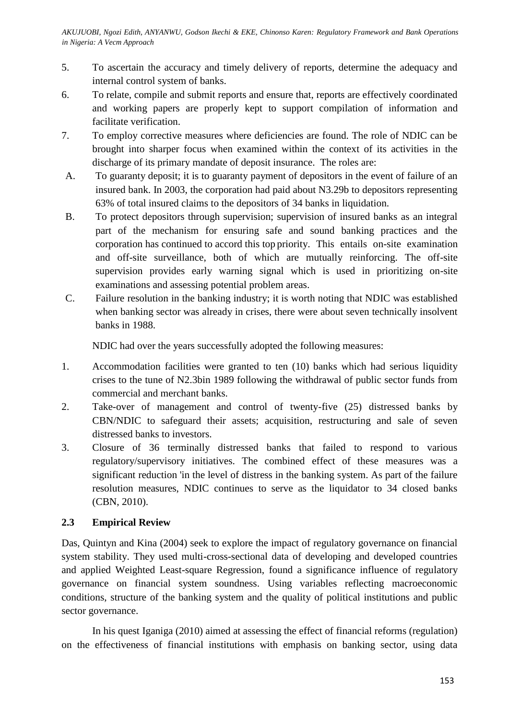- 5. To ascertain the accuracy and timely delivery of reports, determine the adequacy and internal control system of banks.
- 6. To relate, compile and submit reports and ensure that, reports are effectively coordinated and working papers are properly kept to support compilation of information and facilitate verification.
- 7. To employ corrective measures where deficiencies are found. The role of NDIC can be brought into sharper focus when examined within the context of its activities in the discharge of its primary mandate of deposit insurance. The roles are:
- A. To guaranty deposit; it is to guaranty payment of depositors in the event of failure of an insured bank. In 2003, the corporation had paid about N3.29b to depositors representing 63% of total insured claims to the depositors of 34 banks in liquidation.
- B. To protect depositors through supervision; supervision of insured banks as an integral part of the mechanism for ensuring safe and sound banking practices and the corporation has continued to accord this top priority. This entails on-site examination and off-site surveillance, both of which are mutually reinforcing. The off-site supervision provides early warning signal which is used in prioritizing on-site examinations and assessing potential problem areas.
- C. Failure resolution in the banking industry; it is worth noting that NDIC was established when banking sector was already in crises, there were about seven technically insolvent banks in 1988.

NDIC had over the years successfully adopted the following measures:

- 1. Accommodation facilities were granted to ten (10) banks which had serious liquidity crises to the tune of N2.3bin 1989 following the withdrawal of public sector funds from commercial and merchant banks.
- 2. Take-over of management and control of twenty-five (25) distressed banks by CBN/NDIC to safeguard their assets; acquisition, restructuring and sale of seven distressed banks to investors.
- 3. Closure of 36 terminally distressed banks that failed to respond to various regulatory/supervisory initiatives. The combined effect of these measures was a significant reduction 'in the level of distress in the banking system. As part of the failure resolution measures, NDIC continues to serve as the liquidator to 34 closed banks (CBN, 2010).

### **2.3 Empirical Review**

Das, Quintyn and Kina (2004) seek to explore the impact of regulatory governance on financial system stability. They used multi-cross-sectional data of developing and developed countries and applied Weighted Least-square Regression, found a significance influence of regulatory governance on financial system soundness. Using variables reflecting macroeconomic conditions, structure of the banking system and the quality of political institutions and public sector governance.

In his quest Iganiga (2010) aimed at assessing the effect of financial reforms (regulation) on the effectiveness of financial institutions with emphasis on banking sector, using data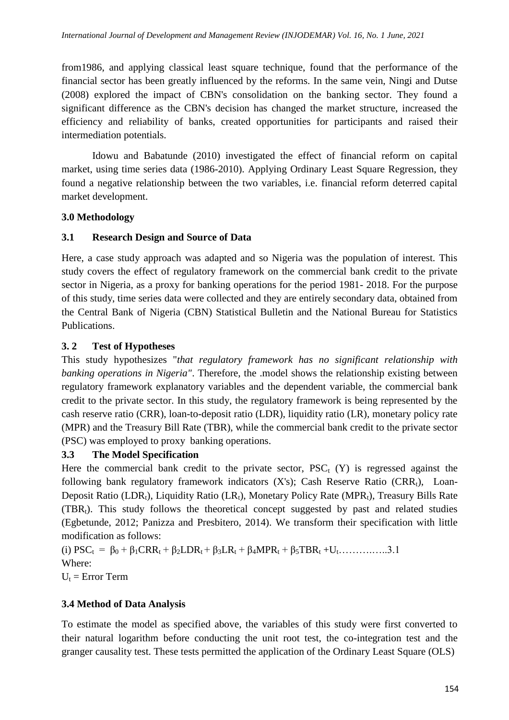from1986, and applying classical least square technique, found that the performance of the financial sector has been greatly influenced by the reforms. In the same vein, Ningi and Dutse (2008) explored the impact of CBN's consolidation on the banking sector. They found a significant difference as the CBN's decision has changed the market structure, increased the efficiency and reliability of banks, created opportunities for participants and raised their intermediation potentials.

Idowu and Babatunde (2010) investigated the effect of financial reform on capital market, using time series data (1986-2010). Applying Ordinary Least Square Regression, they found a negative relationship between the two variables, i.e. financial reform deterred capital market development.

# **3.0 Methodology**

# **3.1 Research Design and Source of Data**

Here, a case study approach was adapted and so Nigeria was the population of interest. This study covers the effect of regulatory framework on the commercial bank credit to the private sector in Nigeria, as a proxy for banking operations for the period 1981- 2018. For the purpose of this study, time series data were collected and they are entirely secondary data, obtained from the Central Bank of Nigeria (CBN) Statistical Bulletin and the National Bureau for Statistics Publications.

# **3. 2 Test of Hypotheses**

This study hypothesizes "*that regulatory framework has no significant relationship with banking operations in Nigeria"*. Therefore, the .model shows the relationship existing between regulatory framework explanatory variables and the dependent variable, the commercial bank credit to the private sector. In this study, the regulatory framework is being represented by the cash reserve ratio (CRR), loan-to-deposit ratio (LDR), liquidity ratio (LR), monetary policy rate (MPR) and the Treasury Bill Rate (TBR), while the commercial bank credit to the private sector (PSC) was employed to proxy banking operations.

### **3.3 The Model Specification**

Here the commercial bank credit to the private sector,  $PSC_t(Y)$  is regressed against the following bank regulatory framework indicators  $(X's)$ ; Cash Reserve Ratio  $(CRR<sub>t</sub>)$ , Loan-Deposit Ratio (LDR<sub>t</sub>), Liquidity Ratio (LR<sub>t</sub>), Monetary Policy Rate (MPR<sub>t</sub>), Treasury Bills Rate  $(TBR_t)$ . This study follows the theoretical concept suggested by past and related studies (Egbetunde, 2012; Panizza and Presbitero, 2014). We transform their specification with little modification as follows:

(i)  $PSC_t = \beta_0 + \beta_1CRR_t + \beta_2LDR_t + \beta_3LR_t + \beta_4MPR_t + \beta_5TBR_t + U_t$ ……………3.1 Where:

 $U_t$  = Error Term

# **3.4 Method of Data Analysis**

To estimate the model as specified above, the variables of this study were first converted to their natural logarithm before conducting the unit root test, the co-integration test and the granger causality test. These tests permitted the application of the Ordinary Least Square (OLS)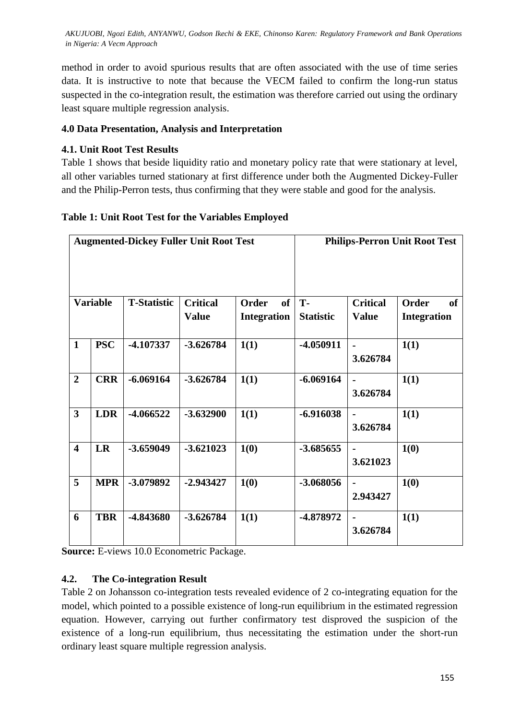method in order to avoid spurious results that are often associated with the use of time series data. It is instructive to note that because the VECM failed to confirm the long-run status suspected in the co-integration result, the estimation was therefore carried out using the ordinary least square multiple regression analysis.

### **4.0 Data Presentation, Analysis and Interpretation**

## **4.1. Unit Root Test Results**

Table 1 shows that beside liquidity ratio and monetary policy rate that were stationary at level, all other variables turned stationary at first difference under both the Augmented Dickey-Fuller and the Philip-Perron tests, thus confirming that they were stable and good for the analysis.

| <b>Augmented-Dickey Fuller Unit Root Test</b> |                    |                 |       | <b>Philips-Perron Unit Root Test</b> |      |                 |       |    |
|-----------------------------------------------|--------------------|-----------------|-------|--------------------------------------|------|-----------------|-------|----|
|                                               |                    |                 |       |                                      |      |                 |       |    |
| Variable                                      | <b>T-Statistic</b> | <b>Critical</b> | Order | <b>of</b>                            | . Т- | <b>Critical</b> | Order | of |

# **Table 1: Unit Root Test for the Variables Employed**

|                         | <b>Variable</b> | <b>T-Statistic</b> | <b>Critical</b> | Order<br><b>of</b> | T-               | <b>Critical</b>            | of<br><b>Order</b> |
|-------------------------|-----------------|--------------------|-----------------|--------------------|------------------|----------------------------|--------------------|
|                         |                 |                    | <b>Value</b>    | <b>Integration</b> | <b>Statistic</b> | <b>Value</b>               | <b>Integration</b> |
| $\mathbf{1}$            | <b>PSC</b>      | -4.107337          | $-3.626784$     | 1(1)               | $-4.050911$      | $\blacksquare$<br>3.626784 | 1(1)               |
| $\overline{2}$          | <b>CRR</b>      | $-6.069164$        | $-3.626784$     | 1(1)               | $-6.069164$      | $\blacksquare$<br>3.626784 | 1(1)               |
| $\overline{3}$          | <b>LDR</b>      | -4.066522          | $-3.632900$     | 1(1)               | $-6.916038$      | $\blacksquare$<br>3.626784 | 1(1)               |
| $\overline{\mathbf{4}}$ | LR              | $-3.659049$        | $-3.621023$     | 1(0)               | $-3.685655$      | $\blacksquare$<br>3.621023 | 1(0)               |
| 5                       | <b>MPR</b>      | -3.079892          | $-2.943427$     | 1(0)               | $-3.068056$      | $\blacksquare$<br>2.943427 | 1(0)               |
| 6                       | <b>TBR</b>      | -4.843680          | $-3.626784$     | 1(1)               | -4.878972        | $\blacksquare$<br>3.626784 | 1(1)               |

**Source:** E-views 10.0 Econometric Package.

### **4.2. The Co-integration Result**

Table 2 on Johansson co-integration tests revealed evidence of 2 co-integrating equation for the model, which pointed to a possible existence of long-run equilibrium in the estimated regression equation. However, carrying out further confirmatory test disproved the suspicion of the existence of a long-run equilibrium, thus necessitating the estimation under the short-run ordinary least square multiple regression analysis.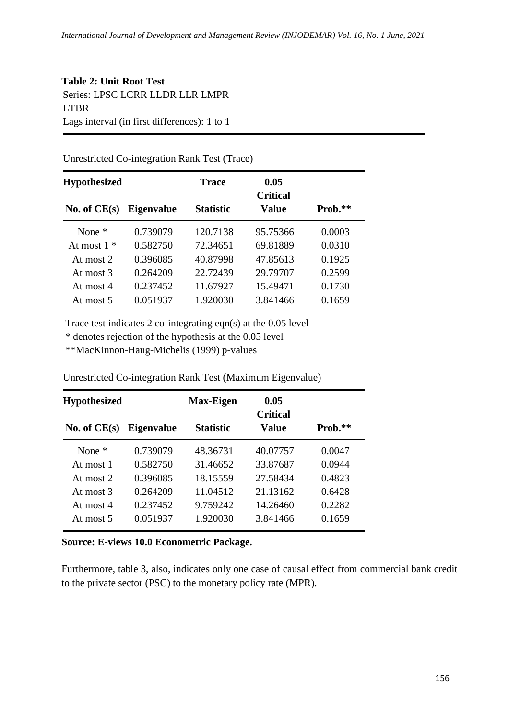# **Table 2: Unit Root Test** Series: LPSC LCRR LLDR LLR LMPR LTBR Lags interval (in first differences): 1 to 1

#### Unrestricted Co-integration Rank Test (Trace)

| <b>Hypothesized</b> |                   | <b>Trace</b>     | 0.05<br><b>Critical</b> |           |
|---------------------|-------------------|------------------|-------------------------|-----------|
| No. of $CE(s)$      | <b>Eigenvalue</b> | <b>Statistic</b> | Value                   | $Prob.**$ |
| None $*$            | 0.739079          | 120.7138         | 95.75366                | 0.0003    |
| At most $1 *$       | 0.582750          | 72.34651         | 69.81889                | 0.0310    |
| At most $2$         | 0.396085          | 40.87998         | 47.85613                | 0.1925    |
| At most $3$         | 0.264209          | 22.72439         | 29.79707                | 0.2599    |
| At most 4           | 0.237452          | 11.67927         | 15.49471                | 0.1730    |
| At most $5$         | 0.051937          | 1.920030         | 3.841466                | 0.1659    |

Trace test indicates 2 co-integrating eqn(s) at the 0.05 level

\* denotes rejection of the hypothesis at the 0.05 level

\*\*MacKinnon-Haug-Michelis (1999) p-values

Unrestricted Co-integration Rank Test (Maximum Eigenvalue)

| <b>Hypothesized</b> |                   | <b>Max-Eigen</b> | 0.05<br><b>Critical</b> |         |
|---------------------|-------------------|------------------|-------------------------|---------|
| No. of $CE(s)$      | <b>Eigenvalue</b> | <b>Statistic</b> | <b>Value</b>            | Prob.** |
| None $*$            | 0.739079          | 48.36731         | 40.07757                | 0.0047  |
| At most 1           | 0.582750          | 31.46652         | 33.87687                | 0.0944  |
| At most $2$         | 0.396085          | 18.15559         | 27.58434                | 0.4823  |
| At most $3$         | 0.264209          | 11.04512         | 21.13162                | 0.6428  |
| At most $4$         | 0.237452          | 9.759242         | 14.26460                | 0.2282  |
| At most 5           | 0.051937          | 1.920030         | 3.841466                | 0.1659  |

#### **Source: E-views 10.0 Econometric Package.**

Furthermore, table 3, also, indicates only one case of causal effect from commercial bank credit to the private sector (PSC) to the monetary policy rate (MPR).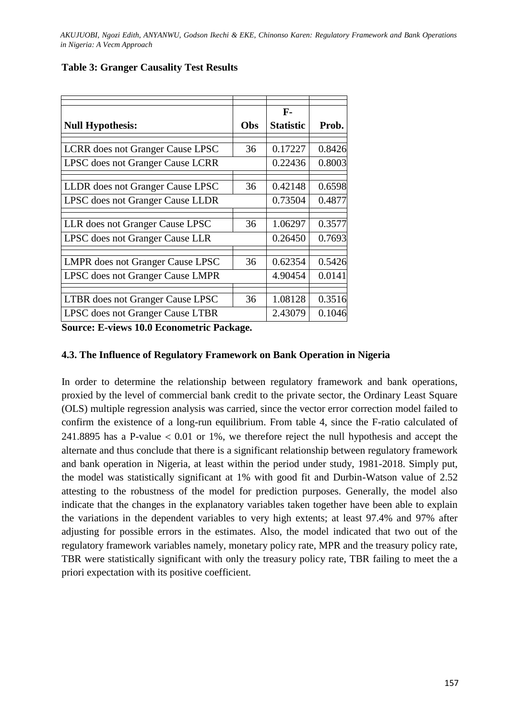|                                         |     | F-               |        |
|-----------------------------------------|-----|------------------|--------|
| <b>Null Hypothesis:</b>                 | Obs | <b>Statistic</b> | Prob.  |
|                                         |     |                  |        |
| <b>LCRR</b> does not Granger Cause LPSC | 36  | 0.17227          | 0.8426 |
| LPSC does not Granger Cause LCRR        |     | 0.22436          | 0.8003 |
|                                         |     |                  |        |
| LLDR does not Granger Cause LPSC        | 36  | 0.42148          | 0.6598 |
| LPSC does not Granger Cause LLDR        |     | 0.73504          | 0.4877 |
|                                         |     |                  |        |
| LLR does not Granger Cause LPSC         | 36  | 1.06297          | 0.3577 |
| LPSC does not Granger Cause LLR         |     | 0.26450          | 0.7693 |
|                                         |     |                  |        |
| <b>LMPR</b> does not Granger Cause LPSC | 36  | 0.62354          | 0.5426 |
| LPSC does not Granger Cause LMPR        |     | 4.90454          | 0.0141 |
|                                         |     |                  |        |
| LTBR does not Granger Cause LPSC        | 36  | 1.08128          | 0.3516 |
| LPSC does not Granger Cause LTBR        |     | 2.43079          | 0.1046 |

#### **Table 3: Granger Causality Test Results**

**Source: E-views 10.0 Econometric Package.**

#### **4.3. The Influence of Regulatory Framework on Bank Operation in Nigeria**

In order to determine the relationship between regulatory framework and bank operations, proxied by the level of commercial bank credit to the private sector, the Ordinary Least Square (OLS) multiple regression analysis was carried, since the vector error correction model failed to confirm the existence of a long-run equilibrium. From table 4, since the F-ratio calculated of 241.8895 has a P-value  $< 0.01$  or 1%, we therefore reject the null hypothesis and accept the alternate and thus conclude that there is a significant relationship between regulatory framework and bank operation in Nigeria, at least within the period under study, 1981-2018. Simply put, the model was statistically significant at 1% with good fit and Durbin-Watson value of 2.52 attesting to the robustness of the model for prediction purposes. Generally, the model also indicate that the changes in the explanatory variables taken together have been able to explain the variations in the dependent variables to very high extents; at least 97.4% and 97% after adjusting for possible errors in the estimates. Also, the model indicated that two out of the regulatory framework variables namely, monetary policy rate, MPR and the treasury policy rate, TBR were statistically significant with only the treasury policy rate, TBR failing to meet the a priori expectation with its positive coefficient.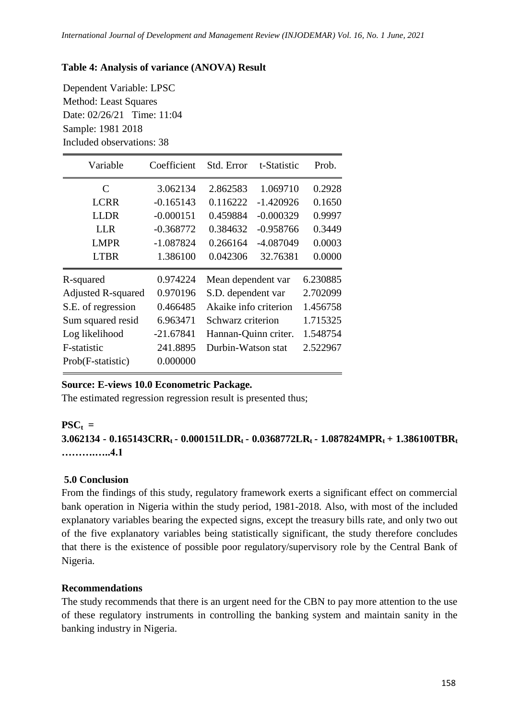### **Table 4: Analysis of variance (ANOVA) Result**

Dependent Variable: LPSC Method: Least Squares Date: 02/26/21 Time: 11:04 Sample: 1981 2018 Included observations: 38

| Variable                  | Coefficient | Std. Error            | t-Statistic | Prob.    |
|---------------------------|-------------|-----------------------|-------------|----------|
| C                         | 3.062134    | 2.862583              | 1.069710    | 0.2928   |
| <b>LCRR</b>               | $-0.165143$ | 0.116222              | $-1.420926$ | 0.1650   |
| <b>LLDR</b>               | $-0.000151$ | 0.459884              | $-0.000329$ | 0.9997   |
| <b>LLR</b>                | $-0.368772$ | 0.384632              | $-0.958766$ | 0.3449   |
| <b>LMPR</b>               | $-1.087824$ | 0.266164              | -4.087049   | 0.0003   |
| <b>LTBR</b>               | 1.386100    | 0.042306              | 32.76381    | 0.0000   |
| R-squared                 | 0.974224    | Mean dependent var    |             | 6.230885 |
| <b>Adjusted R-squared</b> | 0.970196    | S.D. dependent var    |             | 2.702099 |
| S.E. of regression        | 0.466485    | Akaike info criterion |             | 1.456758 |
| Sum squared resid         | 6.963471    | Schwarz criterion     |             | 1.715325 |
| Log likelihood            | $-21.67841$ | Hannan-Quinn criter.  |             | 1.548754 |
| F-statistic               | 241.8895    | Durbin-Watson stat    |             | 2.522967 |
| Prob(F-statistic)         | 0.000000    |                       |             |          |

### **Source: E-views 10.0 Econometric Package.**

The estimated regression regression result is presented thus;

#### $\mathbf{PSC}_t =$

**3.062134 - 0.165143CRRt - 0.000151LDRt - 0.0368772LRt - 1.087824MPRt + 1.386100TBR<sup>t</sup> ……….…..4.1** 

### **5.0 Conclusion**

From the findings of this study, regulatory framework exerts a significant effect on commercial bank operation in Nigeria within the study period, 1981-2018. Also, with most of the included explanatory variables bearing the expected signs, except the treasury bills rate, and only two out of the five explanatory variables being statistically significant, the study therefore concludes that there is the existence of possible poor regulatory/supervisory role by the Central Bank of Nigeria.

#### **Recommendations**

The study recommends that there is an urgent need for the CBN to pay more attention to the use of these regulatory instruments in controlling the banking system and maintain sanity in the banking industry in Nigeria.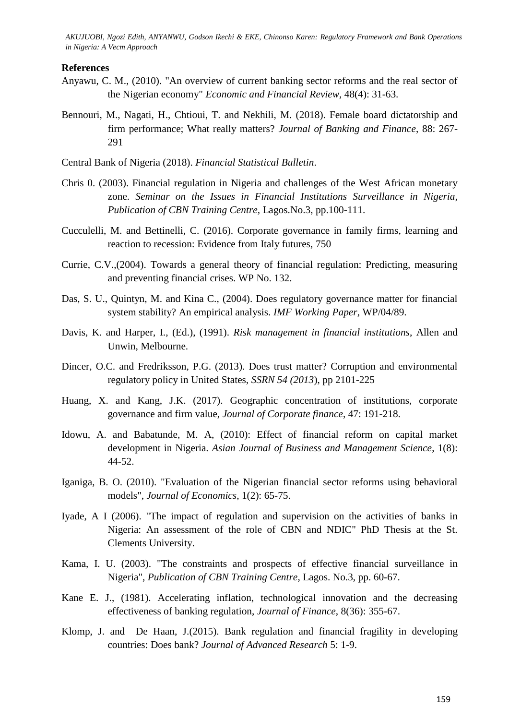#### **References**

- Anyawu, C. M., (2010). "An overview of current banking sector reforms and the real sector of the Nigerian economy" *Economic and Financial Review,* 48(4): 31-63.
- Bennouri, M., Nagati, H., Chtioui, T. and Nekhili, M. (2018). Female board dictatorship and firm performance; What really matters? *Journal of Banking and Finance*, 88: 267- 291

Central Bank of Nigeria (2018). *Financial Statistical Bulletin*.

- Chris 0. (2003). Financial regulation in Nigeria and challenges of the West African monetary zone. *Seminar on the Issues in Financial Institutions Surveillance in Nigeria, Publication of CBN Training Centre,* Lagos.No.3, pp.100-111.
- Cucculelli, M. and Bettinelli, C. (2016). Corporate governance in family firms, learning and reaction to recession: Evidence from Italy futures, 750
- Currie, C.V.,(2004). Towards a general theory of financial regulation: Predicting, measuring and preventing financial crises. WP No. 132.
- Das, S. U., Quintyn, M. and Kina C., (2004). Does regulatory governance matter for financial system stability? An empirical analysis. *IMF Working Paper*, WP/04/89.
- Davis, K. and Harper, I., (Ed.), (1991). *Risk management in financial institutions*, Allen and Unwin, Melbourne.
- Dincer, O.C. and Fredriksson, P.G. (2013). Does trust matter? Corruption and environmental regulatory policy in United States, *SSRN 54 (2013*), pp 2101-225
- Huang, X. and Kang, J.K. (2017). Geographic concentration of institutions, corporate governance and firm value, *Journal of Corporate finance*, 47: 191-218.
- Idowu, A. and Babatunde, M. A, (2010): Effect of financial reform on capital market development in Nigeria. *Asian Journal of Business and Management Science*, 1(8): 44-52.
- Iganiga, B. O. (2010). "Evaluation of the Nigerian financial sector reforms using behavioral models", *Journal of Economics*, 1(2): 65-75.
- Iyade, A I (2006). "The impact of regulation and supervision on the activities of banks in Nigeria: An assessment of the role of CBN and NDIC" PhD Thesis at the St. Clements University.
- Kama, I. U. (2003). "The constraints and prospects of effective financial surveillance in Nigeria", *Publication of CBN Training Centre*, Lagos. No.3, pp. 60-67.
- Kane E. J., (1981). Accelerating inflation, technological innovation and the decreasing effectiveness of banking regulation, *Journal of Finance*, 8(36): 355-67.
- Klomp, J. and De Haan, J.(2015). Bank regulation and financial fragility in developing countries: Does bank? *Journal of Advanced Research* 5: 1-9.